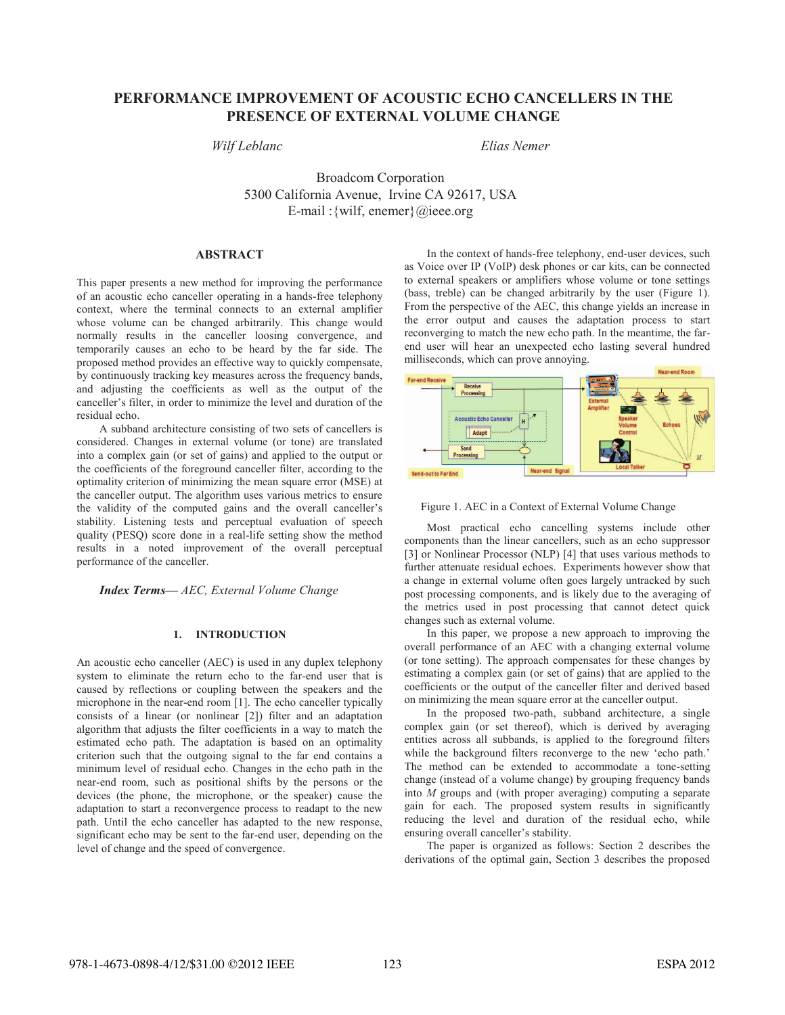# **PERFORMANCE IMPROVEMENT OF ACOUSTIC ECHO CANCELLERS IN THE PRESENCE OF EXTERNAL VOLUME CHANGE**

# *Wilf Leblanc Elias Nemer*

Broadcom Corporation 5300 California Avenue, Irvine CA 92617, USA E-mail :{wilf, enemer}@ieee.org

# **ABSTRACT**

This paper presents a new method for improving the performance of an acoustic echo canceller operating in a hands-free telephony context, where the terminal connects to an external amplifier whose volume can be changed arbitrarily. This change would normally results in the canceller loosing convergence, and temporarily causes an echo to be heard by the far side. The proposed method provides an effective way to quickly compensate, by continuously tracking key measures across the frequency bands, and adjusting the coefficients as well as the output of the canceller's filter, in order to minimize the level and duration of the residual echo.

A subband architecture consisting of two sets of cancellers is considered. Changes in external volume (or tone) are translated into a complex gain (or set of gains) and applied to the output or the coefficients of the foreground canceller filter, according to the optimality criterion of minimizing the mean square error (MSE) at the canceller output. The algorithm uses various metrics to ensure the validity of the computed gains and the overall canceller's stability. Listening tests and perceptual evaluation of speech quality (PESQ) score done in a real-life setting show the method results in a noted improvement of the overall perceptual performance of the canceller.

*Index Terms— AEC, External Volume Change*

# **1. INTRODUCTION**

An acoustic echo canceller (AEC) is used in any duplex telephony system to eliminate the return echo to the far-end user that is caused by reflections or coupling between the speakers and the microphone in the near-end room [1]. The echo canceller typically consists of a linear (or nonlinear [2]) filter and an adaptation algorithm that adjusts the filter coefficients in a way to match the estimated echo path. The adaptation is based on an optimality criterion such that the outgoing signal to the far end contains a minimum level of residual echo. Changes in the echo path in the near-end room, such as positional shifts by the persons or the devices (the phone, the microphone, or the speaker) cause the adaptation to start a reconvergence process to readapt to the new path. Until the echo canceller has adapted to the new response, significant echo may be sent to the far-end user, depending on the level of change and the speed of convergence.

In the context of hands-free telephony, end-user devices, such as Voice over IP (VoIP) desk phones or car kits, can be connected to external speakers or amplifiers whose volume or tone settings (bass, treble) can be changed arbitrarily by the user (Figure 1). From the perspective of the AEC, this change yields an increase in the error output and causes the adaptation process to start reconverging to match the new echo path. In the meantime, the farend user will hear an unexpected echo lasting several hundred milliseconds, which can prove annoying.



Figure 1. AEC in a Context of External Volume Change

Most practical echo cancelling systems include other components than the linear cancellers, such as an echo suppressor [3] or Nonlinear Processor (NLP) [4] that uses various methods to further attenuate residual echoes. Experiments however show that a change in external volume often goes largely untracked by such post processing components, and is likely due to the averaging of the metrics used in post processing that cannot detect quick changes such as external volume.

In this paper, we propose a new approach to improving the overall performance of an AEC with a changing external volume (or tone setting). The approach compensates for these changes by estimating a complex gain (or set of gains) that are applied to the coefficients or the output of the canceller filter and derived based on minimizing the mean square error at the canceller output.

In the proposed two-path, subband architecture, a single complex gain (or set thereof), which is derived by averaging entities across all subbands, is applied to the foreground filters while the background filters reconverge to the new 'echo path.' The method can be extended to accommodate a tone-setting change (instead of a volume change) by grouping frequency bands into *M* groups and (with proper averaging) computing a separate gain for each. The proposed system results in significantly reducing the level and duration of the residual echo, while ensuring overall canceller's stability.

The paper is organized as follows: Section 2 describes the derivations of the optimal gain, Section 3 describes the proposed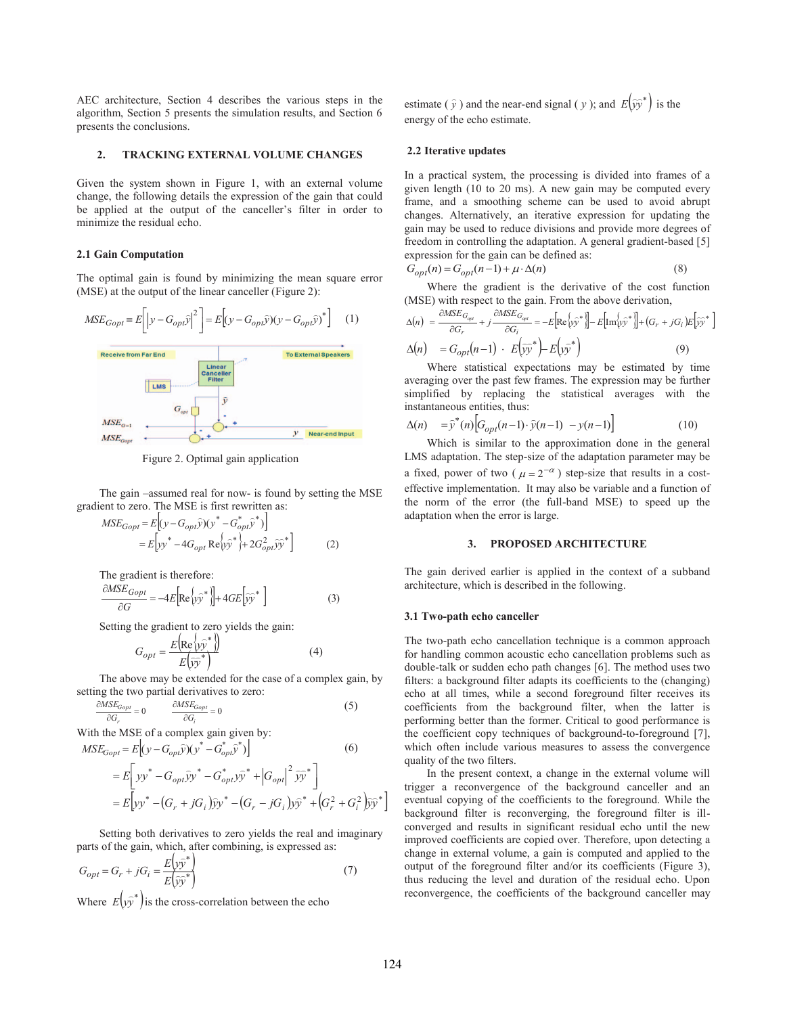AEC architecture, Section 4 describes the various steps in the algorithm, Section 5 presents the simulation results, and Section 6 presents the conclusions.

### **2. TRACKING EXTERNAL VOLUME CHANGES**

Given the system shown in Figure 1, with an external volume change, the following details the expression of the gain that could be applied at the output of the canceller's filter in order to minimize the residual echo.

#### **2.1 Gain Computation**

 $MSE_{con}$ 

The optimal gain is found by minimizing the mean square error (MSE) at the output of the linear canceller (Figure 2):



Figure 2. Optimal gain application

The gain –assumed real for now- is found by setting the MSE gradient to zero. The MSE is first rewritten as:

Near-end Input

$$
MSE_{Gopt} = E[(y - G_{opt} \hat{y})(y^* - G_{opt}^* \hat{y}^*)]
$$
  
=  $E[yy^* - 4G_{opt} \text{Re}(\hat{y}\hat{y}^*) + 2G_{opt}^2 \hat{y}\hat{y}^*]$  (2)

The gradient is therefore:

$$
\frac{\partial MSE_{Gopt}}{\partial G} = -4E \left[ \text{Re} \left\{ y\hat{y}^* \right\} \right] + 4GE \left[ \hat{y}\hat{y}^* \right] \tag{3}
$$

Setting the gradient to zero yields the gain:

$$
G_{opt} = \frac{E\left(\text{Re}\left\{\hat{y}\hat{y}^*\right\}\right)}{E\left(\hat{y}\hat{y}^*\right)}\tag{4}
$$

The above may be extended for the case of a complex gain, by setting the two partial derivatives to zero:

$$
\frac{\partial MSE_{Gopt}}{\partial G_r} = 0 \qquad \frac{\partial MSE_{Gopt}}{\partial G_i} = 0 \tag{5}
$$

With the MSE of a complex gain given by:

$$
MSE_{Gopt} = E[(y - G_{opl}\tilde{y})(y^* - G_{opl}^*\tilde{y}^*)]
$$
(6)  
=  $E\left[yy^* - G_{opl}\tilde{y}y^* - G_{opl}^*\tilde{y}^* + |G_{opl}|^2 \tilde{y}\tilde{y}^*\right]$   
=  $E\left[yy^* - (G_r + jG_i)\tilde{y}y^* - (G_r - jG_i)\tilde{y}\tilde{y}^* + (G_r^2 + G_i^2)\tilde{y}\tilde{y}^*\right]$ 

Setting both derivatives to zero yields the real and imaginary parts of the gain, which, after combining, is expressed as:

$$
G_{opt} = G_r + jG_i = \frac{E(y\hat{y}^*)}{E(\hat{y}\hat{y}^*)}
$$
\n(7)

Where  $E(y\hat{y})$  is the cross-correlation between the echo

estimate ( $\hat{y}$ ) and the near-end signal ( $y$ ); and  $E(\hat{y}\hat{y})$  is the energy of the echo estimate.

#### **2.2 Iterative updates**

In a practical system, the processing is divided into frames of a given length (10 to 20 ms). A new gain may be computed every frame, and a smoothing scheme can be used to avoid abrupt changes. Alternatively, an iterative expression for updating the gain may be used to reduce divisions and provide more degrees of freedom in controlling the adaptation. A general gradient-based [5] expression for the gain can be defined as:

$$
G_{opt}(n) = G_{opt}(n-1) + \mu \cdot \Delta(n) \tag{8}
$$

Where the gradient is the derivative of the cost function (MSE) with respect to the gain. From the above derivation,

$$
\Delta(n) = \frac{\partial MSE_{G_{opt}}}{\partial G_r} + j \frac{\partial MSE_{G_{opt}}}{\partial G_i} = -E[\text{Re}\{\hat{y}\hat{y}^*\} - E[\text{Im}\{\hat{y}\hat{y}^*\} + (G_r + jG_i)E[\hat{y}\hat{y}^*\} - \Delta(n)] = G_{opt}(n-1) \cdot E(\hat{y}\hat{y}^*) - E(\hat{y}\hat{y}^*)
$$
\n(9)

Where statistical expectations may be estimated by time averaging over the past few frames. The expression may be further simplified by replacing the statistical averages with the instantaneous entities, thus:

$$
\Delta(n) = \hat{y}^*(n) \Big[ G_{opt}(n-1) \cdot \hat{y}(n-1) - y(n-1) \Big] \tag{10}
$$

Which is similar to the approximation done in the general LMS adaptation. The step-size of the adaptation parameter may be a fixed, power of two ( $\mu = 2^{-\alpha}$ ) step-size that results in a costeffective implementation. It may also be variable and a function of the norm of the error (the full-band MSE) to speed up the adaptation when the error is large.

#### **3. PROPOSED ARCHITECTURE**

The gain derived earlier is applied in the context of a subband architecture, which is described in the following.

#### **3.1 Two-path echo canceller**

The two-path echo cancellation technique is a common approach for handling common acoustic echo cancellation problems such as double-talk or sudden echo path changes [6]. The method uses two filters: a background filter adapts its coefficients to the (changing) echo at all times, while a second foreground filter receives its coefficients from the background filter, when the latter is performing better than the former. Critical to good performance is the coefficient copy techniques of background-to-foreground [7], which often include various measures to assess the convergence quality of the two filters.

In the present context, a change in the external volume will trigger a reconvergence of the background canceller and an eventual copying of the coefficients to the foreground. While the background filter is reconverging, the foreground filter is illconverged and results in significant residual echo until the new improved coefficients are copied over. Therefore, upon detecting a change in external volume, a gain is computed and applied to the output of the foreground filter and/or its coefficients (Figure 3), thus reducing the level and duration of the residual echo. Upon reconvergence, the coefficients of the background canceller may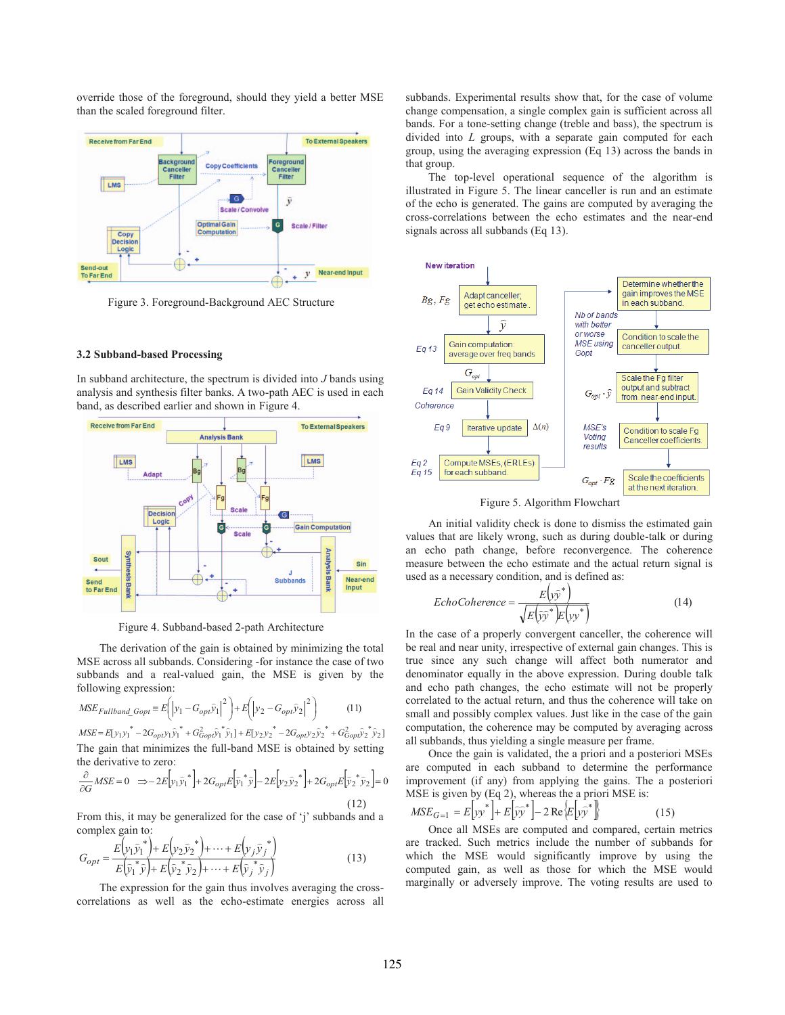override those of the foreground, should they yield a better MSE than the scaled foreground filter.



Figure 3. Foreground-Background AEC Structure

#### **3.2 Subband-based Processing**

In subband architecture, the spectrum is divided into *J* bands using analysis and synthesis filter banks. A two-path AEC is used in each band, as described earlier and shown in Figure 4.



Figure 4. Subband-based 2-path Architecture

The derivation of the gain is obtained by minimizing the total MSE across all subbands. Considering -for instance the case of two subbands and a real-valued gain, the MSE is given by the following expression:

$$
MSE_{Fullband\_Gopt} = E\left(\left|y_1 - G_{opt}\hat{y}_1\right|^2\right) + E\left(\left|y_2 - G_{opt}\hat{y}_2\right|^2\right) \tag{11}
$$

 $MSE = E[y_1y_1^* - 2G_{opt}y_1\bar{y}_1^* + G_{Gopt}^2\bar{y}_1^*\bar{y}_1] + E[y_2y_2^* - 2G_{opt}y_2\bar{y}_2^* + G_{Gopt}^2\bar{y}_2^*\bar{y}_2]$ The gain that minimizes the full-band MSE is obtained by setting the derivative to zero:

$$
\frac{\partial}{\partial G} MSE = 0 \quad \Rightarrow -2E \Big[ y_1 \bar{y}_1^* \Big] + 2G_{opt} E \Big[ \bar{y}_1^* \bar{y} \Big] - 2E \Big[ y_2 \bar{y}_2^* \Big] + 2G_{opt} E \Big[ \bar{y}_2^* \bar{y}_2 \Big] = 0
$$
\n(12)

From this, it may be generalized for the case of 'j' subbands and a complex gain to:

$$
G_{opt} = \frac{E(\mathbf{y}_1 \hat{\mathbf{y}}_1^*) + E(\mathbf{y}_2 \hat{\mathbf{y}}_2^*) + \dots + E(\mathbf{y}_j \hat{\mathbf{y}}_j^*)}{E(\hat{\mathbf{y}}_1^* \hat{\mathbf{y}}) + E(\hat{\mathbf{y}}_2^* \hat{\mathbf{y}}_2^*) + \dots + E(\hat{\mathbf{y}}_j^* \hat{\mathbf{y}}_j)}
$$
(13)

The expression for the gain thus involves averaging the crosscorrelations as well as the echo-estimate energies across all subbands. Experimental results show that, for the case of volume change compensation, a single complex gain is sufficient across all bands. For a tone-setting change (treble and bass), the spectrum is divided into *L* groups, with a separate gain computed for each group, using the averaging expression (Eq 13) across the bands in that group.

The top-level operational sequence of the algorithm is illustrated in Figure 5. The linear canceller is run and an estimate of the echo is generated. The gains are computed by averaging the cross-correlations between the echo estimates and the near-end signals across all subbands (Eq 13).



Figure 5. Algorithm Flowchart

An initial validity check is done to dismiss the estimated gain values that are likely wrong, such as during double-talk or during an echo path change, before reconvergence. The coherence measure between the echo estimate and the actual return signal is used as a necessary condition, and is defined as:

$$
EchoCoherence = \frac{E(y\hat{y}^*)}{\sqrt{E(y\hat{y}^*)E(y\hat{y}^*)}}
$$
(14)

In the case of a properly convergent canceller, the coherence will be real and near unity, irrespective of external gain changes. This is true since any such change will affect both numerator and denominator equally in the above expression. During double talk and echo path changes, the echo estimate will not be properly correlated to the actual return, and thus the coherence will take on small and possibly complex values. Just like in the case of the gain computation, the coherence may be computed by averaging across all subbands, thus yielding a single measure per frame.

Once the gain is validated, the a priori and a posteriori MSEs are computed in each subband to determine the performance improvement (if any) from applying the gains. The a posteriori MSE is given by (Eq 2), whereas the a priori MSE is:

$$
MSE_{G=1} = E\left[yy^*\right] + E\left[\widetilde{yy}^*\right] - 2\operatorname{Re}\left\{E\left[y\widetilde{y}^*\right]\right\} \tag{15}
$$

Once all MSEs are computed and compared, certain metrics are tracked. Such metrics include the number of subbands for which the MSE would significantly improve by using the computed gain, as well as those for which the MSE would marginally or adversely improve. The voting results are used to